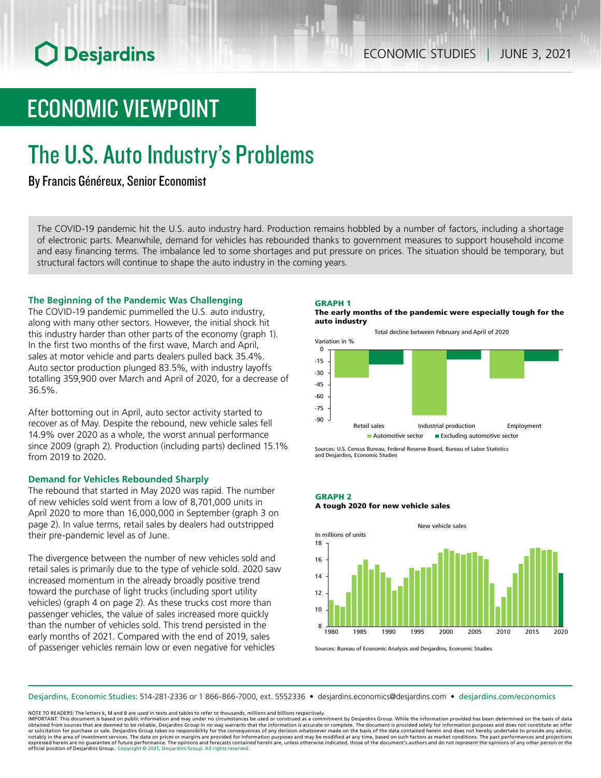# ECONOMIC VIEWPOINT

# The U.S. Auto Industry's Problems

## By Francis Généreux, Senior Economist

The COVID-19 pandemic hit the U.S. auto industry hard. Production remains hobbled by a number of factors, including a shortage of electronic parts. Meanwhile, demand for vehicles has rebounded thanks to government measures to support household income and easy financing terms. The imbalance led to some shortages and put pressure on prices. The situation should be temporary, but structural factors will continue to shape the auto industry in the coming years.

## **The Beginning of the Pandemic Was Challenging**

The COVID-19 pandemic pummelled the U.S. auto industry, along with many other sectors. However, the initial shock hit this industry harder than other parts of the economy (graph 1). In the first two months of the first wave, March and April, sales at motor vehicle and parts dealers pulled back 35.4%. Auto sector production plunged 83.5%, with industry layoffs totalling 359,900 over March and April of 2020, for a decrease of 36.5%.

After bottoming out in April, auto sector activity started to recover as of May. Despite the rebound, new vehicle sales fell 14.9% over 2020 as a whole, the worst annual performance since 2009 (graph 2). Production (including parts) declined 15.1% from 2019 to 2020.

## **Demand for Vehicles Rebounded Sharply**

The rebound that started in May 2020 was rapid. The number of new vehicles sold went from a low of 8,701,000 units in April 2020 to more than 16,000,000 in September (graph 3 on page 2). In value terms, retail sales by dealers had outstripped their pre-pandemic level as of June.

The divergence between the number of new vehicles sold and retail sales is primarily due to the type of vehicle sold. 2020 saw increased momentum in the already broadly positive trend toward the purchase of light trucks (including sport utility vehicles) (graph 4 on page 2). As these trucks cost more than passenger vehicles, the value of sales increased more quickly than the number of vehicles sold. This trend persisted in the early months of 2021. Compared with the end of 2019, sales of passenger vehicles remain low or even negative for vehicles

### GRAPH 1

The early months of the pandemic were especially tough for the auto industry





Sources: U.S. Census Bureau, Federal Reserve Board, Bureau of Labor Statistics and Desjardins, Economic Studies

## GRAPH 2 A tough 2020 for new vehicle sales



Sources: Bureau of Economic Analysis and Desjardins, Economic Studies

Desjardins, Economic Studies: 514‑281‑2336 or 1 866‑866‑7000, ext. 5552336 • desjardins.economics@desjardins.com • [desjardins.com/economics](http://desjardins.com/economics)

NOTE TO READERS: The letters k, M and B are used in texts and tables to refer to thousands, millions and billions respectively.

IMPORTANT: This document is based on public information and may under no circumstances be used or construed as a commitment by Desjardins Group. While the information provided has been determined on the basis of data<br>obtai notably in the area of investment services. The data on prices or margins are provided for information purposes and may be modified at any time, based on such factors as market conditions. The past performances and project expressed herein are no guarantee of future performance. The opinions and forecasts contained herein are, unless otherwise indicated, those of the document's authors and do not represent the opinions of any other person or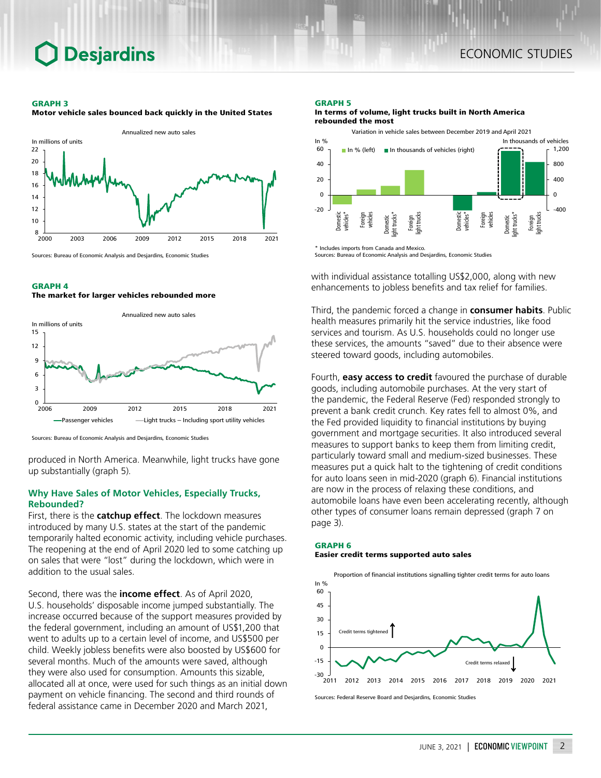### GRAPH 3

Annualized new auto sales In millions of units 8 10 12 14 16 18 20 22 2000 2003 2006 2009 2012 2015 2018 2021

Motor vehicle sales bounced back quickly in the United States

Sources: Bureau of Economic Analysis and Desjardins, Economic Studies

### GRAPH 4

#### The market for larger vehicles rebounded more



Sources: Bureau of Economic Analysis and Desjardins, Economic Studies

produced in North America. Meanwhile, light trucks have gone up substantially (graph 5).

## **Why Have Sales of Motor Vehicles, Especially Trucks, Rebounded?**

First, there is the **catchup effect**. The lockdown measures introduced by many U.S. states at the start of the pandemic temporarily halted economic activity, including vehicle purchases. The reopening at the end of April 2020 led to some catching up on sales that were "lost" during the lockdown, which were in addition to the usual sales.

Second, there was the **income effect**. As of April 2020, U.S. households' disposable income jumped substantially. The increase occurred because of the support measures provided by the federal government, including an amount of US\$1,200 that went to adults up to a certain level of income, and US\$500 per child. Weekly jobless benefits were also boosted by US\$600 for several months. Much of the amounts were saved, although they were also used for consumption. Amounts this sizable, allocated all at once, were used for such things as an initial down payment on vehicle financing. The second and third rounds of federal assistance came in December 2020 and March 2021,

### GRAPH 5

#### In terms of volume, light trucks built in North America rebounded the most



Sources: Bureau of Economic Analysis and Desjardins, Economic Studies

with individual assistance totalling US\$2,000, along with new enhancements to jobless benefits and tax relief for families.

Third, the pandemic forced a change in **consumer habits**. Public health measures primarily hit the service industries, like food services and tourism. As U.S. households could no longer use these services, the amounts "saved" due to their absence were steered toward goods, including automobiles.

Fourth, **easy access to credit** favoured the purchase of durable goods, including automobile purchases. At the very start of the pandemic, the Federal Reserve (Fed) responded strongly to prevent a bank credit crunch. Key rates fell to almost 0%, and the Fed provided liquidity to financial institutions by buying government and mortgage securities. It also introduced several measures to support banks to keep them from limiting credit, particularly toward small and medium-sized businesses. These measures put a quick halt to the tightening of credit conditions for auto loans seen in mid-2020 (graph 6). Financial institutions are now in the process of relaxing these conditions, and automobile loans have even been accelerating recently, although other types of consumer loans remain depressed (graph 7 on page 3).

## GRAPH 6 Easier credit terms supported auto sales



Sources: Federal Reserve Board and Desjardins, Economic Studies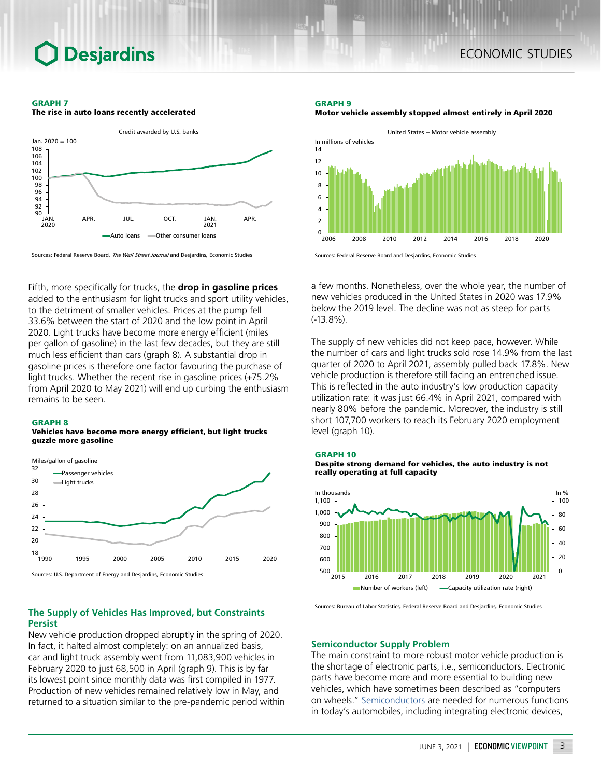## ECONOMIC STUDIES

#### GRAPH 7





Sources: Federal Reserve Board, The Wall Street Journal and Desjardins, Economic Studies

Fifth, more specifically for trucks, the **drop in gasoline prices** added to the enthusiasm for light trucks and sport utility vehicles, to the detriment of smaller vehicles. Prices at the pump fell 33.6% between the start of 2020 and the low point in April 2020. Light trucks have become more energy efficient (miles per gallon of gasoline) in the last few decades, but they are still much less efficient than cars (graph 8). A substantial drop in gasoline prices is therefore one factor favouring the purchase of light trucks. Whether the recent rise in gasoline prices (+75.2% from April 2020 to May 2021) will end up curbing the enthusiasm remains to be seen.

#### GRAPH 8

### Vehicles have become more energy efficient, but light trucks guzzle more gasoline



Sources: U.S. Department of Energy and Desjardins, Economic Studies

## **The Supply of Vehicles Has Improved, but Constraints Persist**

New vehicle production dropped abruptly in the spring of 2020. In fact, it halted almost completely: on an annualized basis, car and light truck assembly went from 11,083,900 vehicles in February 2020 to just 68,500 in April (graph 9). This is by far its lowest point since monthly data was first compiled in 1977. Production of new vehicles remained relatively low in May, and returned to a situation similar to the pre-pandemic period within

#### GRAPH 9



Motor vehicle assembly stopped almost entirely in April 2020



a few months. Nonetheless, over the whole year, the number of new vehicles produced in the United States in 2020 was 17.9% below the 2019 level. The decline was not as steep for parts (-13.8%).

The supply of new vehicles did not keep pace, however. While the number of cars and light trucks sold rose 14.9% from the last quarter of 2020 to April 2021, assembly pulled back 17.8%. New vehicle production is therefore still facing an entrenched issue. This is reflected in the auto industry's low production capacity utilization rate: it was just 66.4% in April 2021, compared with nearly 80% before the pandemic. Moreover, the industry is still short 107,700 workers to reach its February 2020 employment level (graph 10).







Sources: Bureau of Labor Statistics, Federal Reserve Board and Desjardins, Economic Studies

### **Semiconductor Supply Problem**

The main constraint to more robust motor vehicle production is the shortage of electronic parts, i.e., semiconductors. Electronic parts have become more and more essential to building new vehicles, which have sometimes been described as "computers on wheels." [Semiconductors](https://carpart.com.au/blog/educational/what-is-a-semiconductor-in-cars) are needed for numerous functions in today's automobiles, including integrating electronic devices,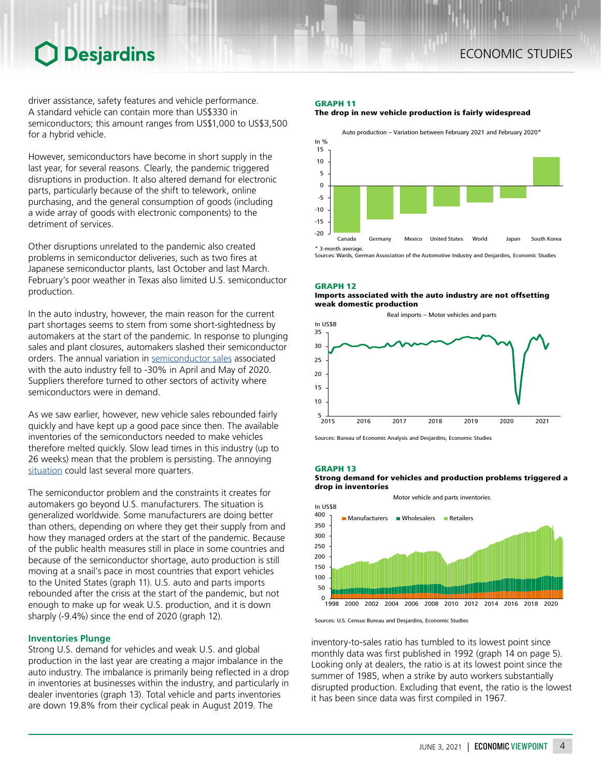## ECONOMIC STUDIES

## **O** Desjardins

driver assistance, safety features and vehicle performance. A standard vehicle can contain more than US\$330 in semiconductors; this amount ranges from US\$1,000 to US\$3,500 for a hybrid vehicle.

However, semiconductors have become in short supply in the last year, for several reasons. Clearly, the pandemic triggered disruptions in production. It also altered demand for electronic parts, particularly because of the shift to telework, online purchasing, and the general consumption of goods (including a wide array of goods with electronic components) to the detriment of services.

Other disruptions unrelated to the pandemic also created problems in semiconductor deliveries, such as two fires at Japanese semiconductor plants, last October and last March. February's poor weather in Texas also limited U.S. semiconductor production.

In the auto industry, however, the main reason for the current part shortages seems to stem from some short-sightedness by automakers at the start of the pandemic. In response to plunging sales and plant closures, automakers slashed their semiconductor orders. The annual variation in [semiconductor](https://www.semiconductors.org/semiconductor-shortage-highlights-need-to-strengthen-u-s-chip-manufacturing-research/) sales associated with the auto industry fell to -30% in April and May of 2020. Suppliers therefore turned to other sectors of activity where semiconductors were in demand.

As we saw earlier, however, new vehicle sales rebounded fairly quickly and have kept up a good pace since then. The available inventories of the semiconductors needed to make vehicles therefore melted quickly. Slow lead times in this industry (up to 26 weeks) mean that the problem is persisting. The annoying [situation](https://www.cnbc.com/2021/05/12/the-global-chip-shortage-could-last-until-2023-.html) could last several more quarters.

The semiconductor problem and the constraints it creates for automakers go beyond U.S. manufacturers. The situation is generalized worldwide. Some manufacturers are doing better than others, depending on where they get their supply from and how they managed orders at the start of the pandemic. Because of the public health measures still in place in some countries and because of the semiconductor shortage, auto production is still moving at a snail's pace in most countries that export vehicles to the United States (graph 11). U.S. auto and parts imports rebounded after the crisis at the start of the pandemic, but not enough to make up for weak U.S. production, and it is down sharply (-9.4%) since the end of 2020 (graph 12).

## **Inventories Plunge**

Strong U.S. demand for vehicles and weak U.S. and global production in the last year are creating a major imbalance in the auto industry. The imbalance is primarily being reflected in a drop in inventories at businesses within the industry, and particularly in dealer inventories (graph 13). Total vehicle and parts inventories are down 19.8% from their cyclical peak in August 2019. The

## GRAPH 11





Sources: Wards, German Association of the Automotive Industry and Desjardins, Economic Studies

GRAPH 12 Imports associated with the auto industry are not offsetting weak domestic production



Sources: Bureau of Economic Analysis and Desjardins, Economic Studies

#### GRAPH 13

Strong demand for vehicles and production problems triggered a drop in inventories



Sources: U.S. Census Bureau and Desjardins, Economic Studies

inventory-to-sales ratio has tumbled to its lowest point since monthly data was first published in 1992 (graph 14 on page 5). Looking only at dealers, the ratio is at its lowest point since the summer of 1985, when a strike by auto workers substantially disrupted production. Excluding that event, the ratio is the lowest it has been since data was first compiled in 1967.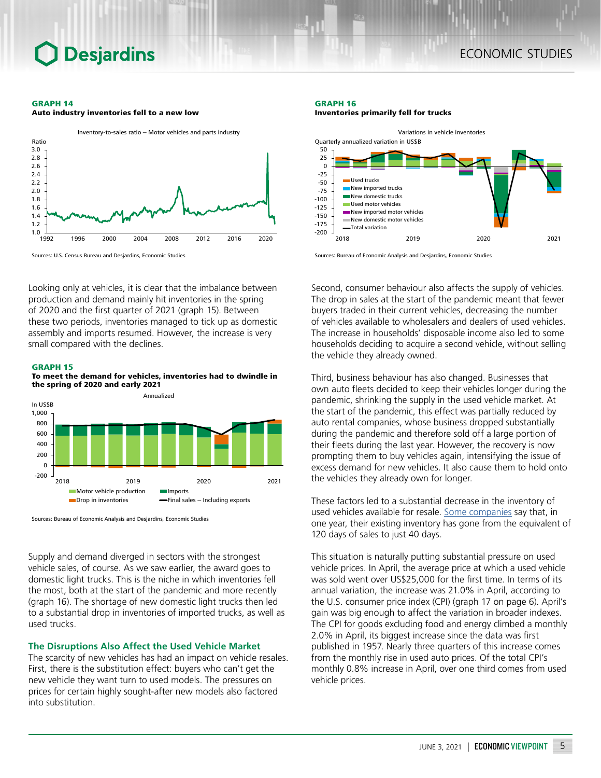#### GRAPH 14



Auto industry inventories fell to a new low



Looking only at vehicles, it is clear that the imbalance between production and demand mainly hit inventories in the spring of 2020 and the first quarter of 2021 (graph 15). Between these two periods, inventories managed to tick up as domestic assembly and imports resumed. However, the increase is very small compared with the declines.

#### GRAPH 15

To meet the demand for vehicles, inventories had to dwindle in the spring of 2020 and early 2021



Sources: Bureau of Economic Analysis and Desjardins, Economic Studies

Supply and demand diverged in sectors with the strongest vehicle sales, of course. As we saw earlier, the award goes to domestic light trucks. This is the niche in which inventories fell the most, both at the start of the pandemic and more recently (graph 16). The shortage of new domestic light trucks then led to a substantial drop in inventories of imported trucks, as well as used trucks.

## **The Disruptions Also Affect the Used Vehicle Market**

The scarcity of new vehicles has had an impact on vehicle resales. First, there is the substitution effect: buyers who can't get the new vehicle they want turn to used models. The pressures on prices for certain highly sought-after new models also factored into substitution.

### GRAPH 16

Inventories primarily fell for trucks



Sources: Bureau of Economic Analysis and Desjardins, Economic Studies

Second, consumer behaviour also affects the supply of vehicles. The drop in sales at the start of the pandemic meant that fewer buyers traded in their current vehicles, decreasing the number of vehicles available to wholesalers and dealers of used vehicles. The increase in households' disposable income also led to some households deciding to acquire a second vehicle, without selling the vehicle they already owned.

Third, business behaviour has also changed. Businesses that own auto fleets decided to keep their vehicles longer during the pandemic, shrinking the supply in the used vehicle market. At the start of the pandemic, this effect was partially reduced by auto rental companies, whose business dropped substantially during the pandemic and therefore sold off a large portion of their fleets during the last year. However, the recovery is now prompting them to buy vehicles again, intensifying the issue of excess demand for new vehicles. It also cause them to hold onto the vehicles they already own for longer.

These factors led to a substantial decrease in the inventory of used vehicles available for resale. Some [companies](https://www.wsj.com/articles/auto-dealers-record-sales-take-a-back-seat-for-investors-11619024671) say that, in one year, their existing inventory has gone from the equivalent of 120 days of sales to just 40 days.

This situation is naturally putting substantial pressure on used vehicle prices. In April, the average price at which a used vehicle was sold went over US\$25,000 for the first time. In terms of its annual variation, the increase was 21.0% in April, according to the U.S. consumer price index (CPI) (graph 17 on page 6). April's gain was big enough to affect the variation in broader indexes. The CPI for goods excluding food and energy climbed a monthly 2.0% in April, its biggest increase since the data was first published in 1957. Nearly three quarters of this increase comes from the monthly rise in used auto prices. Of the total CPI's monthly 0.8% increase in April, over one third comes from used vehicle prices.